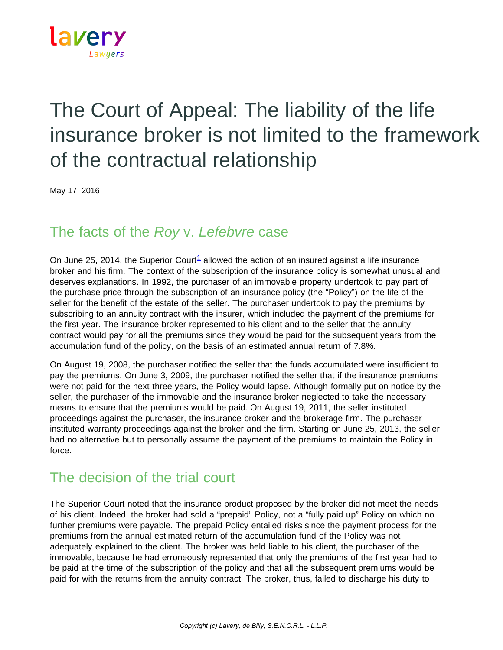

## The Court of Appeal: The liability of the life insurance broker is not limited to the framework of the contractual relationship

May 17, 2016

## The facts of the *Roy* v. *Lefebvre* case

On June 25, 2014, the Superior Court<sup>1</sup> allowed the action of an insured against a life insurance broker and his firm. The context of the subscription of the insurance policy is somewhat unusual and deserves explanations. In 1992, the purchaser of an immovable property undertook to pay part of the purchase price through the subscription of an insurance policy (the "Policy") on the life of the seller for the benefit of the estate of the seller. The purchaser undertook to pay the premiums by subscribing to an annuity contract with the insurer, which included the payment of the premiums for the first year. The insurance broker represented to his client and to the seller that the annuity contract would pay for all the premiums since they would be paid for the subsequent years from the accumulation fund of the policy, on the basis of an estimated annual return of 7.8%.

On August 19, 2008, the purchaser notified the seller that the funds accumulated were insufficient to pay the premiums. On June 3, 2009, the purchaser notified the seller that if the insurance premiums were not paid for the next three years, the Policy would lapse. Although formally put on notice by the seller, the purchaser of the immovable and the insurance broker neglected to take the necessary means to ensure that the premiums would be paid. On August 19, 2011, the seller instituted proceedings against the purchaser, the insurance broker and the brokerage firm. The purchaser instituted warranty proceedings against the broker and the firm. Starting on June 25, 2013, the seller had no alternative but to personally assume the payment of the premiums to maintain the Policy in force.

## The decision of the trial court

The Superior Court noted that the insurance product proposed by the broker did not meet the needs of his client. Indeed, the broker had sold a "prepaid" Policy, not a "fully paid up" Policy on which no further premiums were payable. The prepaid Policy entailed risks since the payment process for the premiums from the annual estimated return of the accumulation fund of the Policy was not adequately explained to the client. The broker was held liable to his client, the purchaser of the immovable, because he had erroneously represented that only the premiums of the first year had to be paid at the time of the subscription of the policy and that all the subsequent premiums would be paid for with the returns from the annuity contract. The broker, thus, failed to discharge his duty to